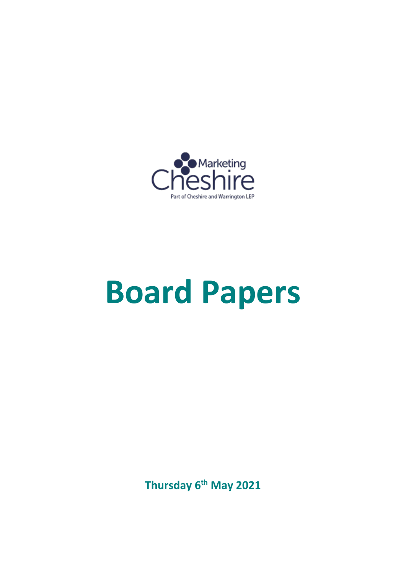

# **Board Papers**

**Thursday 6th May 2021**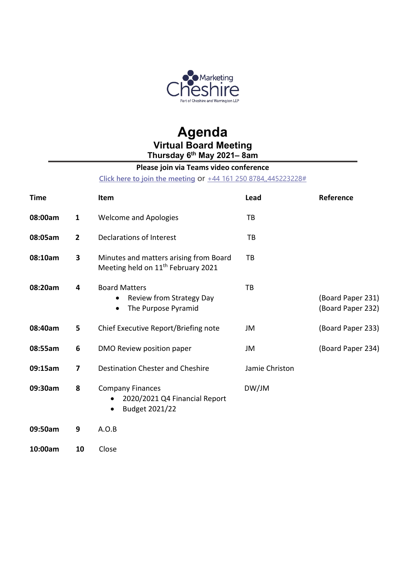

### **Agenda Virtual Board Meeting Thursday 6th May 2021– 8am**

### **Please join via Teams video conference**

**[Click here to join the meeting](https://teams.microsoft.com/l/meetup-join/19%3ameeting_YzA0OWYyZmMtNzBhZS00YzgwLWJiNDItMDQ3ZmYyOGY4OGRi%40thread.v2/0?context=%7b%22Tid%22%3a%229fdc30f0-07e8-4ece-96e4-5daef8d479d1%22%2c%22Oid%22%3a%22914a0c2d-57b1-4dac-bf5b-eb492837e74e%22%7d)** or [+44 161 250 8784,,445223228#](tel:+441612508784,,445223228#%20)

| <b>Time</b> |                | Item                                                                                              | Lead           | Reference                              |
|-------------|----------------|---------------------------------------------------------------------------------------------------|----------------|----------------------------------------|
| 08:00am     | $\mathbf{1}$   | <b>Welcome and Apologies</b>                                                                      | TB             |                                        |
| 08:05am     | $\overline{2}$ | Declarations of Interest                                                                          | TB             |                                        |
| 08:10am     | 3              | Minutes and matters arising from Board<br>Meeting held on 11 <sup>th</sup> February 2021          | ТB             |                                        |
| 08:20am     | 4              | <b>Board Matters</b><br>Review from Strategy Day<br>$\bullet$<br>The Purpose Pyramid<br>$\bullet$ | TB             | (Board Paper 231)<br>(Board Paper 232) |
| 08:40am     | 5              | Chief Executive Report/Briefing note                                                              | JM             | (Board Paper 233)                      |
| 08:55am     | 6              | DMO Review position paper                                                                         | JM             | (Board Paper 234)                      |
| 09:15am     | $\overline{7}$ | Destination Chester and Cheshire                                                                  | Jamie Christon |                                        |
| 09:30am     | 8              | <b>Company Finances</b><br>2020/2021 Q4 Financial Report<br>Budget 2021/22<br>$\bullet$           | DW/JM          |                                        |
| 09:50am     | 9              | A.O.B                                                                                             |                |                                        |
| 10:00am     | 10             | Close                                                                                             |                |                                        |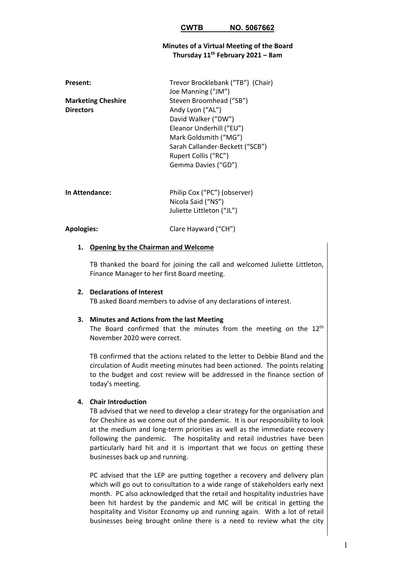#### **Minutes of a Virtual Meeting of the Board Thursday 11th February 2021 – 8am**

| <b>Present:</b>           | Trevor Brocklebank ("TB") (Chair)<br>Joe Manning ("JM") |
|---------------------------|---------------------------------------------------------|
| <b>Marketing Cheshire</b> | Steven Broomhead ("SB")                                 |
| <b>Directors</b>          | Andy Lyon ("AL")                                        |
|                           | David Walker ("DW")                                     |
|                           | Eleanor Underhill ("EU")                                |
|                           | Mark Goldsmith ("MG")                                   |
|                           | Sarah Callander-Beckett ("SCB")                         |
|                           | Rupert Collis ("RC")                                    |
|                           | Gemma Davies ("GD")                                     |
|                           |                                                         |

| Philip Cox ("PC") (observer) |
|------------------------------|
| Nicola Said ("NS")           |
| Juliette Littleton ("JL")    |
|                              |

#### **Apologies:** Clare Hayward ("CH")

#### **1. Opening by the Chairman and Welcome**

TB thanked the board for joining the call and welcomed Juliette Littleton, Finance Manager to her first Board meeting.

#### **2. Declarations of Interest**

TB asked Board members to advise of any declarations of interest.

#### **3. Minutes and Actions from the last Meeting**

The Board confirmed that the minutes from the meeting on the  $12<sup>th</sup>$ November 2020 were correct.

TB confirmed that the actions related to the letter to Debbie Bland and the circulation of Audit meeting minutes had been actioned. The points relating to the budget and cost review will be addressed in the finance section of today's meeting.

#### **4. Chair Introduction**

TB advised that we need to develop a clear strategy for the organisation and for Cheshire as we come out of the pandemic. It is our responsibility to look at the medium and long-term priorities as well as the immediate recovery following the pandemic. The hospitality and retail industries have been particularly hard hit and it is important that we focus on getting these businesses back up and running.

PC advised that the LEP are putting together a recovery and delivery plan which will go out to consultation to a wide range of stakeholders early next month. PC also acknowledged that the retail and hospitality industries have been hit hardest by the pandemic and MC will be critical in getting the hospitality and Visitor Economy up and running again. With a lot of retail businesses being brought online there is a need to review what the city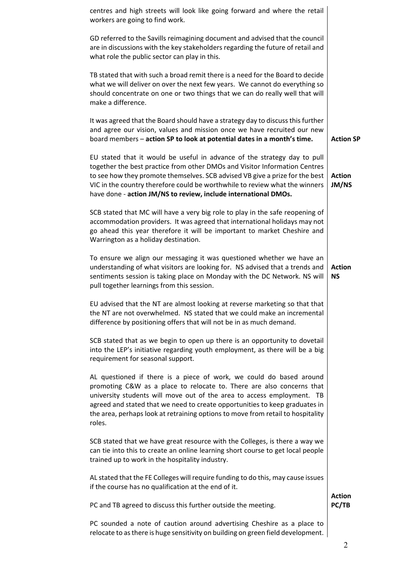| centres and high streets will look like going forward and where the retail<br>workers are going to find work.                                                                                                                                                                                                                                                                                      |                            |
|----------------------------------------------------------------------------------------------------------------------------------------------------------------------------------------------------------------------------------------------------------------------------------------------------------------------------------------------------------------------------------------------------|----------------------------|
| GD referred to the Savills reimagining document and advised that the council<br>are in discussions with the key stakeholders regarding the future of retail and<br>what role the public sector can play in this.                                                                                                                                                                                   |                            |
| TB stated that with such a broad remit there is a need for the Board to decide<br>what we will deliver on over the next few years. We cannot do everything so<br>should concentrate on one or two things that we can do really well that will<br>make a difference.                                                                                                                                |                            |
| It was agreed that the Board should have a strategy day to discuss this further<br>and agree our vision, values and mission once we have recruited our new<br>board members - action SP to look at potential dates in a month's time.                                                                                                                                                              | <b>Action SP</b>           |
| EU stated that it would be useful in advance of the strategy day to pull<br>together the best practice from other DMOs and Visitor Information Centres<br>to see how they promote themselves. SCB advised VB give a prize for the best<br>VIC in the country therefore could be worthwhile to review what the winners<br>have done - action JM/NS to review, include international DMOs.           | <b>Action</b><br>JM/NS     |
| SCB stated that MC will have a very big role to play in the safe reopening of<br>accommodation providers. It was agreed that international holidays may not<br>go ahead this year therefore it will be important to market Cheshire and<br>Warrington as a holiday destination.                                                                                                                    |                            |
| To ensure we align our messaging it was questioned whether we have an<br>understanding of what visitors are looking for. NS advised that a trends and<br>sentiments session is taking place on Monday with the DC Network. NS will<br>pull together learnings from this session.                                                                                                                   | <b>Action</b><br><b>NS</b> |
| EU advised that the NT are almost looking at reverse marketing so that that<br>the NT are not overwhelmed. NS stated that we could make an incremental<br>difference by positioning offers that will not be in as much demand.                                                                                                                                                                     |                            |
| SCB stated that as we begin to open up there is an opportunity to dovetail<br>into the LEP's initiative regarding youth employment, as there will be a big<br>requirement for seasonal support.                                                                                                                                                                                                    |                            |
| AL questioned if there is a piece of work, we could do based around<br>promoting C&W as a place to relocate to. There are also concerns that<br>university students will move out of the area to access employment. TB<br>agreed and stated that we need to create opportunities to keep graduates in<br>the area, perhaps look at retraining options to move from retail to hospitality<br>roles. |                            |
| SCB stated that we have great resource with the Colleges, is there a way we<br>can tie into this to create an online learning short course to get local people<br>trained up to work in the hospitality industry.                                                                                                                                                                                  |                            |
| AL stated that the FE Colleges will require funding to do this, may cause issues<br>if the course has no qualification at the end of it.                                                                                                                                                                                                                                                           |                            |
| PC and TB agreed to discuss this further outside the meeting.                                                                                                                                                                                                                                                                                                                                      | <b>Action</b><br>PC/TB     |
| PC sounded a note of caution around advertising Cheshire as a place to<br>relocate to as there is huge sensitivity on building on green field development.                                                                                                                                                                                                                                         |                            |
|                                                                                                                                                                                                                                                                                                                                                                                                    | ∍                          |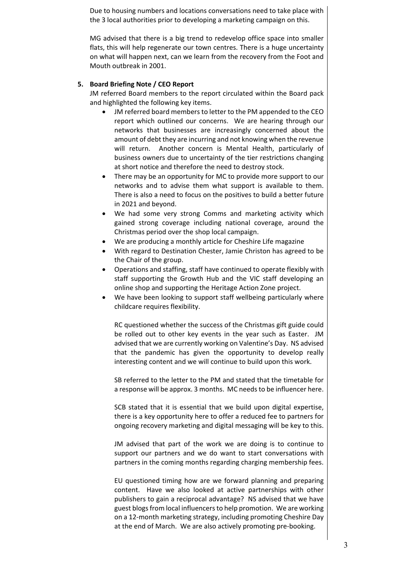Due to housing numbers and locations conversations need to take place with the 3 local authorities prior to developing a marketing campaign on this.

MG advised that there is a big trend to redevelop office space into smaller flats, this will help regenerate our town centres. There is a huge uncertainty on what will happen next, can we learn from the recovery from the Foot and Mouth outbreak in 2001.

#### **5. Board Briefing Note / CEO Report**

JM referred Board members to the report circulated within the Board pack and highlighted the following key items.

- JM referred board members to letter to the PM appended to the CEO report which outlined our concerns. We are hearing through our networks that businesses are increasingly concerned about the amount of debt they are incurring and not knowing when the revenue will return. Another concern is Mental Health, particularly of business owners due to uncertainty of the tier restrictions changing at short notice and therefore the need to destroy stock.
- There may be an opportunity for MC to provide more support to our networks and to advise them what support is available to them. There is also a need to focus on the positives to build a better future in 2021 and beyond.
- We had some very strong Comms and marketing activity which gained strong coverage including national coverage, around the Christmas period over the shop local campaign.
- We are producing a monthly article for Cheshire Life magazine
- With regard to Destination Chester, Jamie Christon has agreed to be the Chair of the group.
- Operations and staffing, staff have continued to operate flexibly with staff supporting the Growth Hub and the VIC staff developing an online shop and supporting the Heritage Action Zone project.
- We have been looking to support staff wellbeing particularly where childcare requires flexibility.

RC questioned whether the success of the Christmas gift guide could be rolled out to other key events in the year such as Easter. JM advised that we are currently working on Valentine's Day. NS advised that the pandemic has given the opportunity to develop really interesting content and we will continue to build upon this work.

SB referred to the letter to the PM and stated that the timetable for a response will be approx. 3 months. MC needs to be influencer here.

SCB stated that it is essential that we build upon digital expertise, there is a key opportunity here to offer a reduced fee to partners for ongoing recovery marketing and digital messaging will be key to this.

JM advised that part of the work we are doing is to continue to support our partners and we do want to start conversations with partners in the coming months regarding charging membership fees.

EU questioned timing how are we forward planning and preparing content. Have we also looked at active partnerships with other publishers to gain a reciprocal advantage? NS advised that we have guest blogs from local influencers to help promotion. We are working on a 12-month marketing strategy, including promoting Cheshire Day at the end of March. We are also actively promoting pre-booking.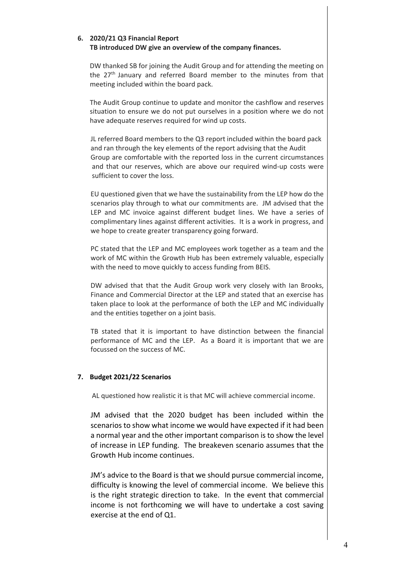#### **6. 2020/21 Q3 Financial Report TB introduced DW give an overview of the company finances.**

DW thanked SB for joining the Audit Group and for attending the meeting on the  $27<sup>th</sup>$  January and referred Board member to the minutes from that meeting included within the board pack.

The Audit Group continue to update and monitor the cashflow and reserves situation to ensure we do not put ourselves in a position where we do not have adequate reserves required for wind up costs.

JL referred Board members to the Q3 report included within the board pack and ran through the key elements of the report advising that the Audit Group are comfortable with the reported loss in the current circumstances and that our reserves, which are above our required wind-up costs were sufficient to cover the loss.

EU questioned given that we have the sustainability from the LEP how do the scenarios play through to what our commitments are. JM advised that the LEP and MC invoice against different budget lines. We have a series of complimentary lines against different activities. It is a work in progress, and we hope to create greater transparency going forward.

PC stated that the LEP and MC employees work together as a team and the work of MC within the Growth Hub has been extremely valuable, especially with the need to move quickly to access funding from BEIS.

DW advised that that the Audit Group work very closely with Ian Brooks, Finance and Commercial Director at the LEP and stated that an exercise has taken place to look at the performance of both the LEP and MC individually and the entities together on a joint basis.

TB stated that it is important to have distinction between the financial performance of MC and the LEP. As a Board it is important that we are focussed on the success of MC.

#### **7. Budget 2021/22 Scenarios**

AL questioned how realistic it is that MC will achieve commercial income.

JM advised that the 2020 budget has been included within the scenarios to show what income we would have expected if it had been a normal year and the other important comparison is to show the level of increase in LEP funding. The breakeven scenario assumes that the Growth Hub income continues.

JM's advice to the Board is that we should pursue commercial income, difficulty is knowing the level of commercial income. We believe this is the right strategic direction to take. In the event that commercial income is not forthcoming we will have to undertake a cost saving exercise at the end of Q1.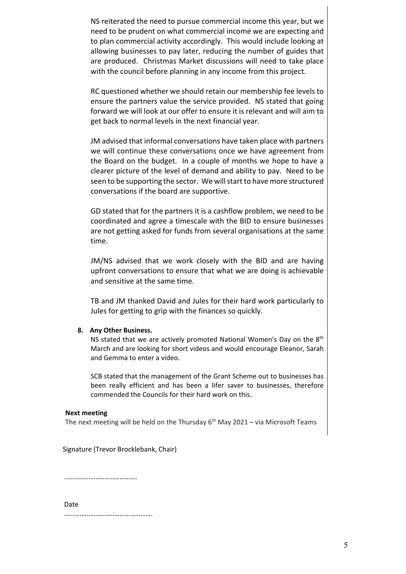NS reiterated the need to pursue commercial income this year, but we need to be prudent on what commercial income we are expecting and to plan commercial activity accordingly. This would include looking at allowing businesses to pay later, reducing the number of guides that are produced. Christmas Market discussions will need to take place with the council before planning in any income from this project.

RC questioned whether we should retain our membership fee levels to ensure the partners value the service provided. NS stated that going forward we will look at our offer to ensure it is relevant and will aim to get back to normal levels in the next financial year.

JM advised that informal conversations have taken place with partners we will continue these conversations once we have agreement from the Board on the budget. In a couple of months we hope to have a clearer picture of the level of demand and ability to pay. Need to be seen to be supporting the sector. We will start to have more structured conversations if the board are supportive.

GD stated that for the partners it is a cashflow problem, we need to be coordinated and agree a timescale with the BID to ensure businesses are not getting asked for funds from several organisations at the same time.

JM/NS advised that we work closely with the BID and are having upfront conversations to ensure that what we are doing is achievable and sensitive at the same time.

TB and JM thanked David and Jules for their hard work particularly to Jules for getting to grip with the finances so quickly.

#### **8. Any Other Business.**

NS stated that we are actively promoted National Women's Day on the 8<sup>th</sup> March and are looking for short videos and would encourage Eleanor, Sarah and Gemma to enter a video.

SCB stated that the management of the Grant Scheme out to businesses has been really efficient and has been a lifer saver to businesses, therefore commended the Councils for their hard work on this.

#### **Next meeting**

The next meeting will be held on the Thursday  $6<sup>th</sup>$  May 2021 – via Microsoft Teams

Signature (Trevor Brocklebank, Chair)

..………………………………….

Date

…………..……………………………….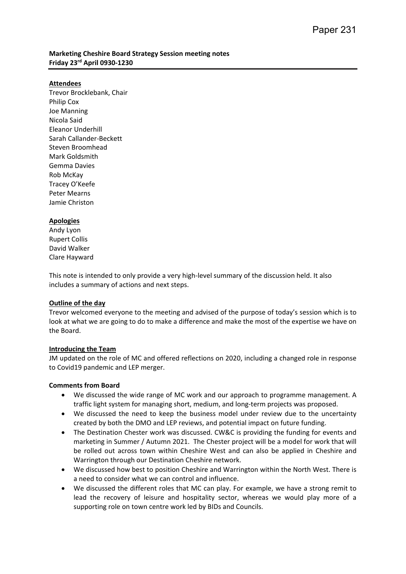#### **Marketing Cheshire Board Strategy Session meeting notes Friday 23rd April 0930-1230**

#### **Attendees**

Trevor Brocklebank, Chair Philip Cox Joe Manning Nicola Said Eleanor Underhill Sarah Callander-Beckett Steven Broomhead Mark Goldsmith Gemma Davies Rob McKay Tracey O'Keefe Peter Mearns Jamie Christon

#### **Apologies**

Andy Lyon Rupert Collis David Walker Clare Hayward

This note is intended to only provide a very high-level summary of the discussion held. It also includes a summary of actions and next steps.

#### **Outline of the day**

Trevor welcomed everyone to the meeting and advised of the purpose of today's session which is to look at what we are going to do to make a difference and make the most of the expertise we have on the Board.

#### **Introducing the Team**

JM updated on the role of MC and offered reflections on 2020, including a changed role in response to Covid19 pandemic and LEP merger.

#### **Comments from Board**

- We discussed the wide range of MC work and our approach to programme management. A traffic light system for managing short, medium, and long-term projects was proposed.
- We discussed the need to keep the business model under review due to the uncertainty created by both the DMO and LEP reviews, and potential impact on future funding.
- The Destination Chester work was discussed. CW&C is providing the funding for events and marketing in Summer / Autumn 2021. The Chester project will be a model for work that will be rolled out across town within Cheshire West and can also be applied in Cheshire and Warrington through our Destination Cheshire network.
- We discussed how best to position Cheshire and Warrington within the North West. There is a need to consider what we can control and influence.
- We discussed the different roles that MC can play. For example, we have a strong remit to lead the recovery of leisure and hospitality sector, whereas we would play more of a supporting role on town centre work led by BIDs and Councils.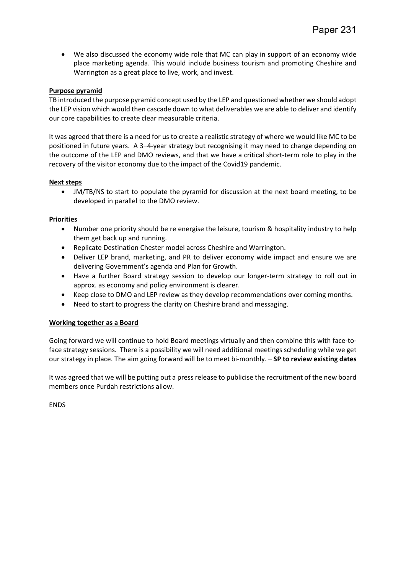• We also discussed the economy wide role that MC can play in support of an economy wide place marketing agenda. This would include business tourism and promoting Cheshire and Warrington as a great place to live, work, and invest.

#### **Purpose pyramid**

TB introduced the purpose pyramid concept used by the LEP and questioned whether we should adopt the LEP vision which would then cascade down to what deliverables we are able to deliver and identify our core capabilities to create clear measurable criteria.

It was agreed that there is a need for us to create a realistic strategy of where we would like MC to be positioned in future years. A 3–4-year strategy but recognising it may need to change depending on the outcome of the LEP and DMO reviews, and that we have a critical short-term role to play in the recovery of the visitor economy due to the impact of the Covid19 pandemic.

#### **Next steps**

• JM/TB/NS to start to populate the pyramid for discussion at the next board meeting, to be developed in parallel to the DMO review.

#### **Priorities**

- Number one priority should be re energise the leisure, tourism & hospitality industry to help them get back up and running.
- Replicate Destination Chester model across Cheshire and Warrington.
- Deliver LEP brand, marketing, and PR to deliver economy wide impact and ensure we are delivering Government's agenda and Plan for Growth.
- Have a further Board strategy session to develop our longer-term strategy to roll out in approx. as economy and policy environment is clearer.
- Keep close to DMO and LEP review as they develop recommendations over coming months.
- Need to start to progress the clarity on Cheshire brand and messaging.

#### **Working together as a Board**

Going forward we will continue to hold Board meetings virtually and then combine this with face-toface strategy sessions. There is a possibility we will need additional meetings scheduling while we get our strategy in place. The aim going forward will be to meet bi-monthly. – **SP to review existing dates**

It was agreed that we will be putting out a press release to publicise the recruitment of the new board members once Purdah restrictions allow.

ENDS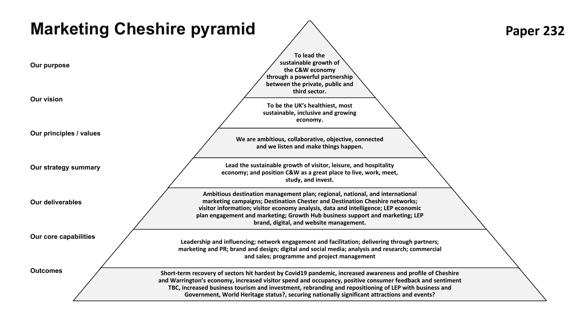| <b>Marketing Cheshire pyramid</b> |                                                                                                                                                                                                                                                                                                                                                                                                                                  | Paper 232 |
|-----------------------------------|----------------------------------------------------------------------------------------------------------------------------------------------------------------------------------------------------------------------------------------------------------------------------------------------------------------------------------------------------------------------------------------------------------------------------------|-----------|
| Our purpose                       | To lead the<br>sustainable growth of<br>the C&W economy<br>through a powerful partnership<br>between the private, public and                                                                                                                                                                                                                                                                                                     |           |
| <b>Our vision</b>                 | third sector.<br>To be the UK's healthiest, most<br>sustainable, inclusive and growing<br>economy.                                                                                                                                                                                                                                                                                                                               |           |
| Our principles / values           | We are ambitious, collaborative, objective, connected<br>and we listen and make things happen.                                                                                                                                                                                                                                                                                                                                   |           |
| Our strategy summary              | Lead the sustainable growth of visitor, leisure, and hospitality<br>economy; and position C&W as a great place to live, work, meet,<br>study, and invest.<br>Ambitious destination management plan; regional, national, and international                                                                                                                                                                                        |           |
| <b>Our deliverables</b>           | marketing campaigns; Destination Chester and Destination Cheshire networks;<br>visitor information; visitor economy analysis, data and intelligence; LEP economic<br>plan engagement and marketing; Growth Hub business support and marketing; LEP<br>brand, digital, and website management.                                                                                                                                    |           |
| Our core capabilities             | Leadership and influencing; network engagement and facilitation; delivering through partners;<br>marketing and PR; brand and design; digital and social media; analysis and research; commercial<br>and sales; programme and project management                                                                                                                                                                                  |           |
| <b>Outcomes</b>                   | Short-term recovery of sectors hit hardest by Covid19 pandemic, increased awareness and profile of Cheshire<br>and Warrington's economy, increased visitor spend and occupancy, positive consumer feedback and sentiment<br>TBC, increased business tourism and investment, rebranding and repositioning of LEP with business and<br>Government, World Heritage status?, securing nationally significant attractions and events? |           |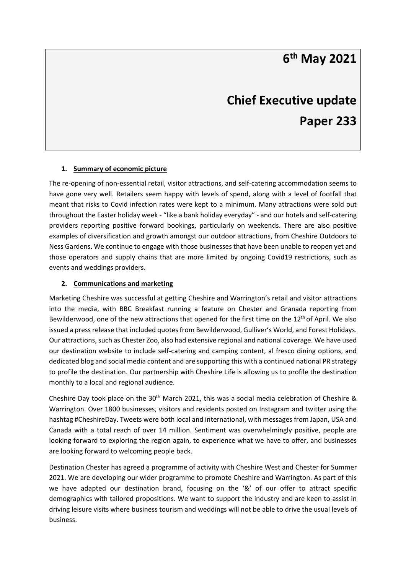## **6th May 2021**

# **Chief Executive update Paper 233**

#### **1. Summary of economic picture**

The re-opening of non-essential retail, visitor attractions, and self-catering accommodation seems to have gone very well. Retailers seem happy with levels of spend, along with a level of footfall that meant that risks to Covid infection rates were kept to a minimum. Many attractions were sold out throughout the Easter holiday week - "like a bank holiday everyday" - and our hotels and self-catering providers reporting positive forward bookings, particularly on weekends. There are also positive examples of diversification and growth amongst our outdoor attractions, from Cheshire Outdoors to Ness Gardens. We continue to engage with those businesses that have been unable to reopen yet and those operators and supply chains that are more limited by ongoing Covid19 restrictions, such as events and weddings providers.

#### **2. Communications and marketing**

Marketing Cheshire was successful at getting Cheshire and Warrington's retail and visitor attractions into the media, with BBC Breakfast running a feature on Chester and Granada reporting from Bewilderwood, one of the new attractions that opened for the first time on the 12<sup>th</sup> of April. We also issued a press release that included quotes from Bewilderwood, Gulliver's World, and Forest Holidays. Our attractions, such as Chester Zoo, also had extensive regional and national coverage. We have used our destination website to include self-catering and camping content, al fresco dining options, and dedicated blog and social media content and are supporting this with a continued national PR strategy to profile the destination. Our partnership with Cheshire Life is allowing us to profile the destination monthly to a local and regional audience.

Cheshire Day took place on the 30<sup>th</sup> March 2021, this was a social media celebration of Cheshire & Warrington. Over 1800 businesses, visitors and residents posted on Instagram and twitter using the hashtag #CheshireDay. Tweets were both local and international, with messages from Japan, USA and Canada with a total reach of over 14 million. Sentiment was overwhelmingly positive, people are looking forward to exploring the region again, to experience what we have to offer, and businesses are looking forward to welcoming people back.

Destination Chester has agreed a programme of activity with Cheshire West and Chester for Summer 2021. We are developing our wider programme to promote Cheshire and Warrington. As part of this we have adapted our destination brand, focusing on the '&' of our offer to attract specific demographics with tailored propositions. We want to support the industry and are keen to assist in driving leisure visits where business tourism and weddings will not be able to drive the usual levels of business.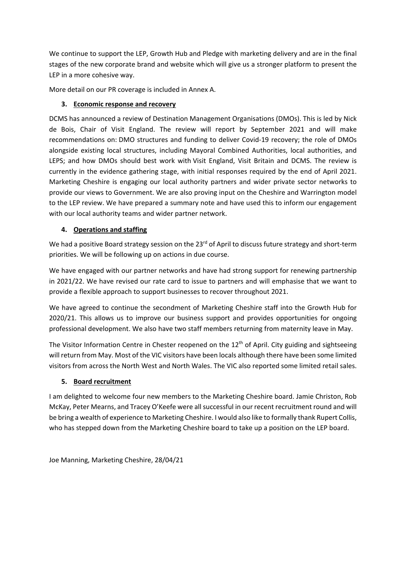We continue to support the LEP, Growth Hub and Pledge with marketing delivery and are in the final stages of the new corporate brand and website which will give us a stronger platform to present the LEP in a more cohesive way.

More detail on our PR coverage is included in Annex A.

#### **3. Economic response and recovery**

DCMS has announced a review of Destination Management Organisations (DMOs). This is led by Nick de Bois, Chair of Visit England. The review will report by September 2021 and will make recommendations on: DMO structures and funding to deliver Covid-19 recovery; the role of DMOs alongside existing local structures, including Mayoral Combined Authorities, local authorities, and LEPS; and how DMOs should best work with Visit England, Visit Britain and DCMS. The review is currently in the evidence gathering stage, with initial responses required by the end of April 2021. Marketing Cheshire is engaging our local authority partners and wider private sector networks to provide our views to Government. We are also proving input on the Cheshire and Warrington model to the LEP review. We have prepared a summary note and have used this to inform our engagement with our local authority teams and wider partner network.

#### **4. Operations and staffing**

We had a positive Board strategy session on the 23<sup>rd</sup> of April to discuss future strategy and short-term priorities. We will be following up on actions in due course.

We have engaged with our partner networks and have had strong support for renewing partnership in 2021/22. We have revised our rate card to issue to partners and will emphasise that we want to provide a flexible approach to support businesses to recover throughout 2021.

We have agreed to continue the secondment of Marketing Cheshire staff into the Growth Hub for 2020/21. This allows us to improve our business support and provides opportunities for ongoing professional development. We also have two staff members returning from maternity leave in May.

The Visitor Information Centre in Chester reopened on the  $12<sup>th</sup>$  of April. City guiding and sightseeing will return from May. Most of the VIC visitors have been locals although there have been some limited visitors from across the North West and North Wales. The VIC also reported some limited retail sales.

#### **5. Board recruitment**

I am delighted to welcome four new members to the Marketing Cheshire board. Jamie Christon, Rob McKay, Peter Mearns, and Tracey O'Keefe were all successful in our recent recruitment round and will be bring a wealth of experience to Marketing Cheshire. I would also like to formally thank Rupert Collis, who has stepped down from the Marketing Cheshire board to take up a position on the LEP board.

Joe Manning, Marketing Cheshire, 28/04/21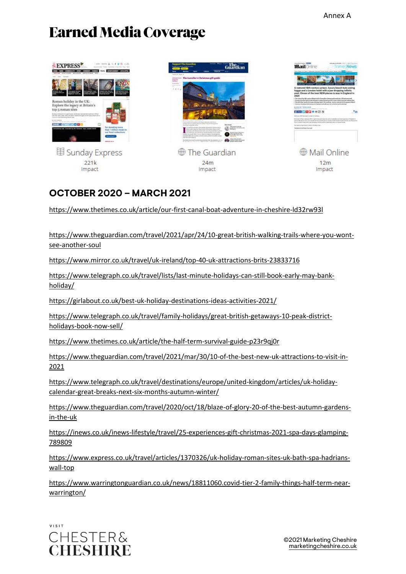# **Earned Media Coverage**







 $12m$ Impact

### **OCTOBER 2020 – MARCH 2021**

<https://www.thetimes.co.uk/article/our-first-canal-boat-adventure-in-cheshire-ld32rw93l>

[https://www.theguardian.com/travel/2021/apr/24/10-great-british-walking-trails-where-you-wont](https://www.theguardian.com/travel/2021/apr/24/10-great-british-walking-trails-where-you-wont-see-another-soul)[see-another-soul](https://www.theguardian.com/travel/2021/apr/24/10-great-british-walking-trails-where-you-wont-see-another-soul)

<https://www.mirror.co.uk/travel/uk-ireland/top-40-uk-attractions-brits-23833716>

[https://www.telegraph.co.uk/travel/lists/last-minute-holidays-can-still-book-early-may-bank](https://www.telegraph.co.uk/travel/lists/last-minute-holidays-can-still-book-early-may-bank-holiday/)[holiday/](https://www.telegraph.co.uk/travel/lists/last-minute-holidays-can-still-book-early-may-bank-holiday/)

<https://girlabout.co.uk/best-uk-holiday-destinations-ideas-activities-2021/>

[https://www.telegraph.co.uk/travel/family-holidays/great-british-getaways-10-peak-district](https://www.telegraph.co.uk/travel/family-holidays/great-british-getaways-10-peak-district-holidays-book-now-sell/)[holidays-book-now-sell/](https://www.telegraph.co.uk/travel/family-holidays/great-british-getaways-10-peak-district-holidays-book-now-sell/)

<https://www.thetimes.co.uk/article/the-half-term-survival-guide-p23r9qj0r>

[https://www.theguardian.com/travel/2021/mar/30/10-of-the-best-new-uk-attractions-to-visit-in-](https://www.theguardian.com/travel/2021/mar/30/10-of-the-best-new-uk-attractions-to-visit-in-2021)[2021](https://www.theguardian.com/travel/2021/mar/30/10-of-the-best-new-uk-attractions-to-visit-in-2021)

[https://www.telegraph.co.uk/travel/destinations/europe/united-kingdom/articles/uk-holiday](https://www.telegraph.co.uk/travel/destinations/europe/united-kingdom/articles/uk-holiday-calendar-great-breaks-next-six-months-autumn-winter/)[calendar-great-breaks-next-six-months-autumn-winter/](https://www.telegraph.co.uk/travel/destinations/europe/united-kingdom/articles/uk-holiday-calendar-great-breaks-next-six-months-autumn-winter/)

[https://www.theguardian.com/travel/2020/oct/18/blaze-of-glory-20-of-the-best-autumn-gardens](https://www.theguardian.com/travel/2020/oct/18/blaze-of-glory-20-of-the-best-autumn-gardens-in-the-uk)[in-the-uk](https://www.theguardian.com/travel/2020/oct/18/blaze-of-glory-20-of-the-best-autumn-gardens-in-the-uk)

[https://inews.co.uk/inews-lifestyle/travel/25-experiences-gift-christmas-2021-spa-days-glamping-](https://inews.co.uk/inews-lifestyle/travel/25-experiences-gift-christmas-2021-spa-days-glamping-789809)[789809](https://inews.co.uk/inews-lifestyle/travel/25-experiences-gift-christmas-2021-spa-days-glamping-789809)

[https://www.express.co.uk/travel/articles/1370326/uk-holiday-roman-sites-uk-bath-spa-hadrians](https://www.express.co.uk/travel/articles/1370326/uk-holiday-roman-sites-uk-bath-spa-hadrians-wall-top)[wall-top](https://www.express.co.uk/travel/articles/1370326/uk-holiday-roman-sites-uk-bath-spa-hadrians-wall-top)

[https://www.warringtonguardian.co.uk/news/18811060.covid-tier-2-family-things-half-term-near](https://www.warringtonguardian.co.uk/news/18811060.covid-tier-2-family-things-half-term-near-warrington/)[warrington/](https://www.warringtonguardian.co.uk/news/18811060.covid-tier-2-family-things-half-term-near-warrington/)

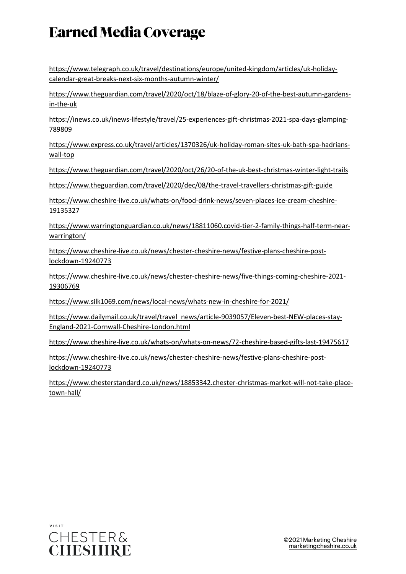# **Earned Media Coverage**

[https://www.telegraph.co.uk/travel/destinations/europe/united-kingdom/articles/uk-holiday](https://www.telegraph.co.uk/travel/destinations/europe/united-kingdom/articles/uk-holiday-calendar-great-breaks-next-six-months-autumn-winter/)[calendar-great-breaks-next-six-months-autumn-winter/](https://www.telegraph.co.uk/travel/destinations/europe/united-kingdom/articles/uk-holiday-calendar-great-breaks-next-six-months-autumn-winter/)

[https://www.theguardian.com/travel/2020/oct/18/blaze-of-glory-20-of-the-best-autumn-gardens](https://www.theguardian.com/travel/2020/oct/18/blaze-of-glory-20-of-the-best-autumn-gardens-in-the-uk)[in-the-uk](https://www.theguardian.com/travel/2020/oct/18/blaze-of-glory-20-of-the-best-autumn-gardens-in-the-uk)

[https://inews.co.uk/inews-lifestyle/travel/25-experiences-gift-christmas-2021-spa-days-glamping-](https://inews.co.uk/inews-lifestyle/travel/25-experiences-gift-christmas-2021-spa-days-glamping-789809)[789809](https://inews.co.uk/inews-lifestyle/travel/25-experiences-gift-christmas-2021-spa-days-glamping-789809)

[https://www.express.co.uk/travel/articles/1370326/uk-holiday-roman-sites-uk-bath-spa-hadrians](https://www.express.co.uk/travel/articles/1370326/uk-holiday-roman-sites-uk-bath-spa-hadrians-wall-top)[wall-top](https://www.express.co.uk/travel/articles/1370326/uk-holiday-roman-sites-uk-bath-spa-hadrians-wall-top)

<https://www.theguardian.com/travel/2020/oct/26/20-of-the-uk-best-christmas-winter-light-trails>

<https://www.theguardian.com/travel/2020/dec/08/the-travel-travellers-christmas-gift-guide>

[https://www.cheshire-live.co.uk/whats-on/food-drink-news/seven-places-ice-cream-cheshire-](https://www.cheshire-live.co.uk/whats-on/food-drink-news/seven-places-ice-cream-cheshire-19135327)[19135327](https://www.cheshire-live.co.uk/whats-on/food-drink-news/seven-places-ice-cream-cheshire-19135327)

[https://www.warringtonguardian.co.uk/news/18811060.covid-tier-2-family-things-half-term-near](https://www.warringtonguardian.co.uk/news/18811060.covid-tier-2-family-things-half-term-near-warrington/)[warrington/](https://www.warringtonguardian.co.uk/news/18811060.covid-tier-2-family-things-half-term-near-warrington/)

[https://www.cheshire-live.co.uk/news/chester-cheshire-news/festive-plans-cheshire-post](https://www.cheshire-live.co.uk/news/chester-cheshire-news/festive-plans-cheshire-post-lockdown-19240773)[lockdown-19240773](https://www.cheshire-live.co.uk/news/chester-cheshire-news/festive-plans-cheshire-post-lockdown-19240773)

[https://www.cheshire-live.co.uk/news/chester-cheshire-news/five-things-coming-cheshire-2021-](https://www.cheshire-live.co.uk/news/chester-cheshire-news/five-things-coming-cheshire-2021-19306769) [19306769](https://www.cheshire-live.co.uk/news/chester-cheshire-news/five-things-coming-cheshire-2021-19306769)

<https://www.silk1069.com/news/local-news/whats-new-in-cheshire-for-2021/>

[https://www.dailymail.co.uk/travel/travel\\_news/article-9039057/Eleven-best-NEW-places-stay-](https://www.dailymail.co.uk/travel/travel_news/article-9039057/Eleven-best-NEW-places-stay-England-2021-Cornwall-Cheshire-London.html)[England-2021-Cornwall-Cheshire-London.html](https://www.dailymail.co.uk/travel/travel_news/article-9039057/Eleven-best-NEW-places-stay-England-2021-Cornwall-Cheshire-London.html)

<https://www.cheshire-live.co.uk/whats-on/whats-on-news/72-cheshire-based-gifts-last-19475617>

[https://www.cheshire-live.co.uk/news/chester-cheshire-news/festive-plans-cheshire-post](https://www.cheshire-live.co.uk/news/chester-cheshire-news/festive-plans-cheshire-post-lockdown-19240773)[lockdown-19240773](https://www.cheshire-live.co.uk/news/chester-cheshire-news/festive-plans-cheshire-post-lockdown-19240773)

[https://www.chesterstandard.co.uk/news/18853342.chester-christmas-market-will-not-take-place](https://www.chesterstandard.co.uk/news/18853342.chester-christmas-market-will-not-take-place-town-hall/)[town-hall/](https://www.chesterstandard.co.uk/news/18853342.chester-christmas-market-will-not-take-place-town-hall/)

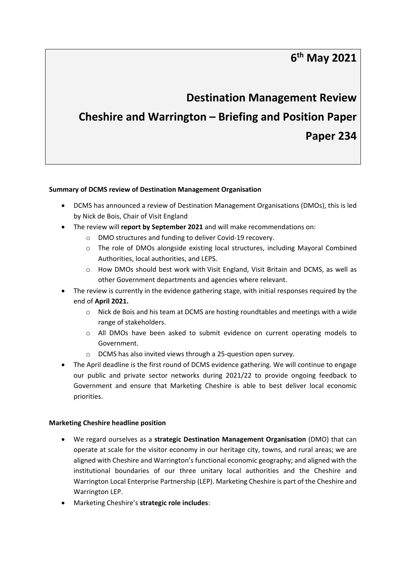### **6th May 2021**

# **Destination Management Review Cheshire and Warrington – Briefing and Position Paper Paper 234**

#### **Summary of DCMS review of Destination Management Organisation**

- DCMS has announced a review of Destination Management Organisations (DMOs), this is led by Nick de Bois, Chair of Visit England
- The review will **report by September 2021** and will make recommendations on:
	- o DMO structures and funding to deliver Covid-19 recovery.
	- o The role of DMOs alongside existing local structures, including Mayoral Combined Authorities, local authorities, and LEPS.
	- $\circ$  How DMOs should best work with Visit England, Visit Britain and DCMS, as well as other Government departments and agencies where relevant.
- The review is currently in the evidence gathering stage, with initial responses required by the end of **April 2021.**
	- o Nick de Bois and his team at DCMS are hosting roundtables and meetings with a wide range of stakeholders.
	- $\circ$  All DMOs have been asked to submit evidence on current operating models to Government.
	- o DCMS has also invited views through a 25-question open survey.
- The April deadline is the first round of DCMS evidence gathering. We will continue to engage our public and private sector networks during 2021/22 to provide ongoing feedback to Government and ensure that Marketing Cheshire is able to best deliver local economic priorities.

#### **Marketing Cheshire headline position**

- We regard ourselves as a **strategic Destination Management Organisation** (DMO) that can operate at scale for the visitor economy in our heritage city, towns, and rural areas; we are aligned with Cheshire and Warrington's functional economic geography; and aligned with the institutional boundaries of our three unitary local authorities and the Cheshire and Warrington Local Enterprise Partnership (LEP). Marketing Cheshire is part of the Cheshire and Warrington LEP.
- Marketing Cheshire's **strategic role includes**: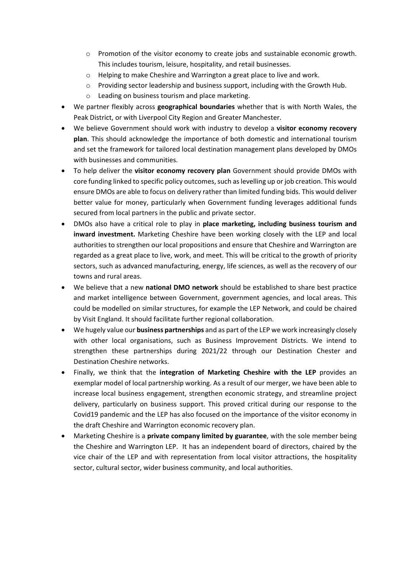- o Promotion of the visitor economy to create jobs and sustainable economic growth. This includes tourism, leisure, hospitality, and retail businesses.
- o Helping to make Cheshire and Warrington a great place to live and work.
- o Providing sector leadership and business support, including with the Growth Hub.
- o Leading on business tourism and place marketing.
- We partner flexibly across **geographical boundaries** whether that is with North Wales, the Peak District, or with Liverpool City Region and Greater Manchester.
- We believe Government should work with industry to develop a **visitor economy recovery plan**. This should acknowledge the importance of both domestic and international tourism and set the framework for tailored local destination management plans developed by DMOs with businesses and communities.
- To help deliver the **visitor economy recovery plan** Government should provide DMOs with core funding linked to specific policy outcomes, such as levelling up or job creation. This would ensure DMOs are able to focus on delivery rather than limited funding bids. This would deliver better value for money, particularly when Government funding leverages additional funds secured from local partners in the public and private sector.
- DMOs also have a critical role to play in **place marketing, including business tourism and inward investment.** Marketing Cheshire have been working closely with the LEP and local authorities to strengthen our local propositions and ensure that Cheshire and Warrington are regarded as a great place to live, work, and meet. This will be critical to the growth of priority sectors, such as advanced manufacturing, energy, life sciences, as well as the recovery of our towns and rural areas.
- We believe that a new **national DMO network** should be established to share best practice and market intelligence between Government, government agencies, and local areas. This could be modelled on similar structures, for example the LEP Network, and could be chaired by Visit England. It should facilitate further regional collaboration.
- We hugely value our **business partnerships** and as part of the LEP we work increasingly closely with other local organisations, such as Business Improvement Districts. We intend to strengthen these partnerships during 2021/22 through our Destination Chester and Destination Cheshire networks.
- Finally, we think that the **integration of Marketing Cheshire with the LEP** provides an exemplar model of local partnership working. As a result of our merger, we have been able to increase local business engagement, strengthen economic strategy, and streamline project delivery, particularly on business support. This proved critical during our response to the Covid19 pandemic and the LEP has also focused on the importance of the visitor economy in the draft Cheshire and Warrington economic recovery plan.
- Marketing Cheshire is a **private company limited by guarantee**, with the sole member being the Cheshire and Warrington LEP. It has an independent board of directors, chaired by the vice chair of the LEP and with representation from local visitor attractions, the hospitality sector, cultural sector, wider business community, and local authorities.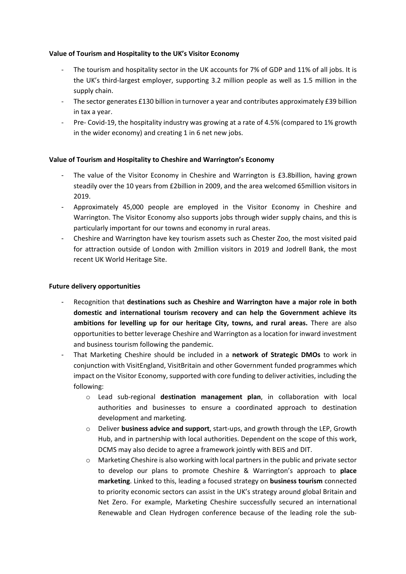#### **Value of Tourism and Hospitality to the UK's Visitor Economy**

- The tourism and hospitality sector in the UK accounts for 7% of GDP and 11% of all jobs. It is the UK's third-largest employer, supporting 3.2 million people as well as 1.5 million in the supply chain.
- The sector generates £130 billion in turnover a year and contributes approximately £39 billion in tax a year.
- Pre- Covid-19, the hospitality industry was growing at a rate of 4.5% (compared to 1% growth in the wider economy) and creating 1 in 6 net new jobs.

#### **Value of Tourism and Hospitality to Cheshire and Warrington's Economy**

- The value of the Visitor Economy in Cheshire and Warrington is £3.8billion, having grown steadily over the 10 years from £2billion in 2009, and the area welcomed 65million visitors in 2019.
- Approximately 45,000 people are employed in the Visitor Economy in Cheshire and Warrington. The Visitor Economy also supports jobs through wider supply chains, and this is particularly important for our towns and economy in rural areas.
- Cheshire and Warrington have key tourism assets such as Chester Zoo, the most visited paid for attraction outside of London with 2million visitors in 2019 and Jodrell Bank, the most recent UK World Heritage Site.

#### **Future delivery opportunities**

- Recognition that **destinations such as Cheshire and Warrington have a major role in both domestic and international tourism recovery and can help the Government achieve its ambitions for levelling up for our heritage City, towns, and rural areas.** There are also opportunities to better leverage Cheshire and Warrington as a location for inward investment and business tourism following the pandemic.
- That Marketing Cheshire should be included in a **network of Strategic DMOs** to work in conjunction with VisitEngland, VisitBritain and other Government funded programmes which impact on the Visitor Economy, supported with core funding to deliver activities, including the following:
	- o Lead sub-regional **destination management plan**, in collaboration with local authorities and businesses to ensure a coordinated approach to destination development and marketing.
	- o Deliver **business advice and support**, start-ups, and growth through the LEP, Growth Hub, and in partnership with local authorities. Dependent on the scope of this work, DCMS may also decide to agree a framework jointly with BEIS and DIT.
	- $\circ$  Marketing Cheshire is also working with local partners in the public and private sector to develop our plans to promote Cheshire & Warrington's approach to **place marketing**. Linked to this, leading a focused strategy on **business tourism** connected to priority economic sectors can assist in the UK's strategy around global Britain and Net Zero. For example, Marketing Cheshire successfully secured an international Renewable and Clean Hydrogen conference because of the leading role the sub-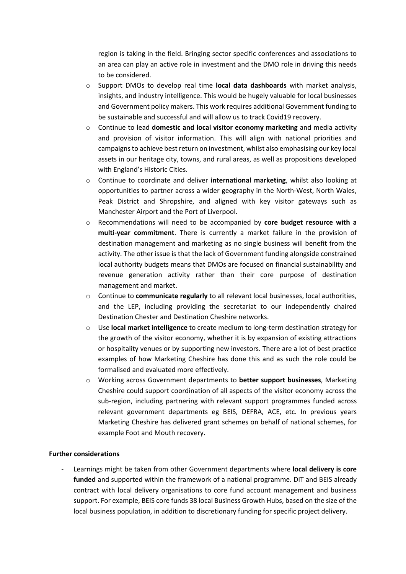region is taking in the field. Bringing sector specific conferences and associations to an area can play an active role in investment and the DMO role in driving this needs to be considered.

- o Support DMOs to develop real time **local data dashboards** with market analysis, insights, and industry intelligence. This would be hugely valuable for local businesses and Government policy makers. This work requires additional Government funding to be sustainable and successful and will allow us to track Covid19 recovery.
- o Continue to lead **domestic and local visitor economy marketing** and media activity and provision of visitor information. This will align with national priorities and campaigns to achieve best return on investment, whilst also emphasising our key local assets in our heritage city, towns, and rural areas, as well as propositions developed with England's Historic Cities.
- o Continue to coordinate and deliver **international marketing**, whilst also looking at opportunities to partner across a wider geography in the North-West, North Wales, Peak District and Shropshire, and aligned with key visitor gateways such as Manchester Airport and the Port of Liverpool.
- o Recommendations will need to be accompanied by **core budget resource with a multi-year commitment**. There is currently a market failure in the provision of destination management and marketing as no single business will benefit from the activity. The other issue is that the lack of Government funding alongside constrained local authority budgets means that DMOs are focused on financial sustainability and revenue generation activity rather than their core purpose of destination management and market.
- o Continue to **communicate regularly** to all relevant local businesses, local authorities, and the LEP, including providing the secretariat to our independently chaired Destination Chester and Destination Cheshire networks.
- o Use **local market intelligence** to create medium to long-term destination strategy for the growth of the visitor economy, whether it is by expansion of existing attractions or hospitality venues or by supporting new investors. There are a lot of best practice examples of how Marketing Cheshire has done this and as such the role could be formalised and evaluated more effectively.
- o Working across Government departments to **better support businesses**, Marketing Cheshire could support coordination of all aspects of the visitor economy across the sub-region, including partnering with relevant support programmes funded across relevant government departments eg BEIS, DEFRA, ACE, etc. In previous years Marketing Cheshire has delivered grant schemes on behalf of national schemes, for example Foot and Mouth recovery.

#### **Further considerations**

- Learnings might be taken from other Government departments where **local delivery is core funded** and supported within the framework of a national programme. DIT and BEIS already contract with local delivery organisations to core fund account management and business support. For example, BEIS core funds 38 local Business Growth Hubs, based on the size of the local business population, in addition to discretionary funding for specific project delivery.